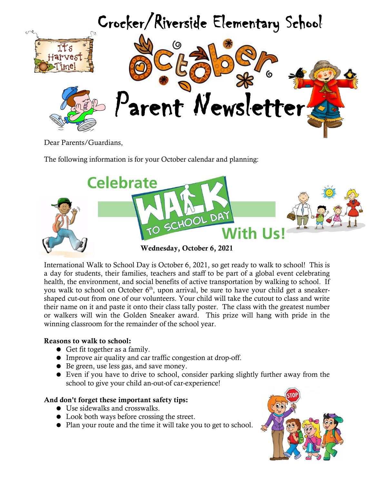

Dear Parents/Guardians,

The following information is for your October calendar and planning:



International Walk to School Day is October 6, 2021, so get ready to walk to school! This is a day for students, their families, teachers and staff to be part of a global event celebrating health, the environment, and social benefits of active transportation by walking to school. If you walk to school on October 6<sup>th</sup>, upon arrival, be sure to have your child get a sneakershaped cut-out from one of our volunteers. Your child will take the cutout to class and write their name on it and paste it onto their class tally poster. The class with the greatest number or walkers will win the Golden Sneaker award. This prize will hang with pride in the winning classroom for the remainder of the school year.

#### **Reasons to walk to school:**

- Get fit together as a family.
- Improve air quality and car traffic congestion at drop-off.
- Be green, use less gas, and save money.
- Even if you have to drive to school, consider parking slightly further away from the school to give your child an-out-of car-experience!

#### **And don't forget these important safety tips:**

- Use sidewalks and crosswalks.
- Look both ways before crossing the street.
- Plan your route and the time it will take you to get to school.

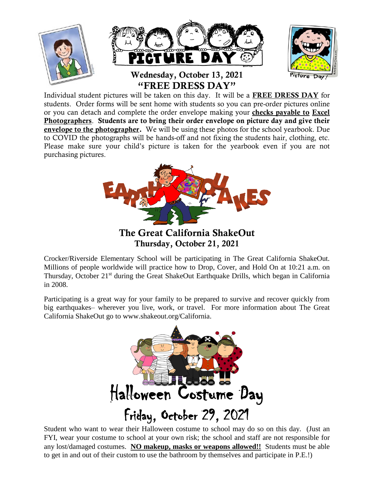

Individual student pictures will be taken on this day. It will be a **FREE DRESS DAY** for students. Order forms will be sent home with students so you can pre-order pictures online or you can detach and complete the order envelope making your **checks payable to Excel Photographers**. **Students are to bring their order envelope on picture day and give their envelope to the photographer.** We will be using these photos for the school yearbook. Due to COVID the photographs will be hands-off and not fixing the students hair, clothing, etc. Please make sure your child's picture is taken for the yearbook even if you are not purchasing pictures.



**The Great California ShakeOut Thursday, October 21, 2021**

Crocker/Riverside Elementary School will be participating in The Great California ShakeOut. Millions of people worldwide will practice how to Drop, Cover, and Hold On at 10:21 a.m. on Thursday, October 21<sup>st</sup> during the Great ShakeOut Earthquake Drills, which began in California in 2008.

Participating is a great way for your family to be prepared to survive and recover quickly from big earthquakes– wherever you live, work, or travel. For more information about The Great California ShakeOut go to www.shakeout.org/California.



Student who want to wear their Halloween costume to school may do so on this day. (Just an FYI, wear your costume to school at your own risk; the school and staff are not responsible for any lost/damaged costumes. **NO makeup, masks or weapons allowed!!** Students must be able to get in and out of their custom to use the bathroom by themselves and participate in P.E.!)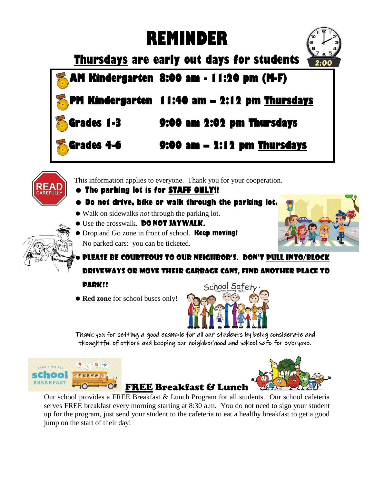# **REMINDER**



**Thursdays are early out days for students**

 **AM Kindergarten 8:00 am - 11:20 pm (M-F)** 

 **Kindergarten 11:40 am – 2:12 pm Thursdays** 

 **Grades 1-3 9:00 am 2:02 pm Thursdays** 

# **Grades 4-6 9:00 am – 2:12 pm Thursdays**



This information applies to everyone. Thank you for your cooperation.

## **The parking lot is for STAFF ONLY!!**

- **Do not drive, bike or walk through the parking lot.**
- Walk on sidewalks *not* through the parking lot.
- **•** Use the crosswalk. DO NOT JAYWALK.
- Drop and Go zone in front of school. **Keep moving!** No parked cars: you can be ticketed.



Please be courteous to our neighbor's. Don't pull into/block driveways or move their garbage cans, find another place to

## park!!

**Red zone** for school buses only!



Thank you for setting a good example for all our students by being considerate and thoughtful of others and keeping our neighborhood and school safe for everyone.





Our school provides a FREE Breakfast & Lunch Program for all students. Our school cafeteria serves FREE breakfast every morning starting at 8:30 a.m. You do not need to sign your student up for the program, just send your student to the cafeteria to eat a healthy breakfast to get a good jump on the start of their day!